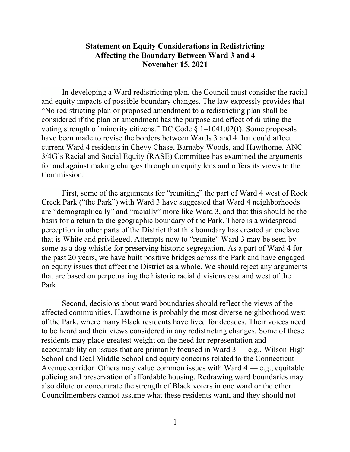## **Statement on Equity Considerations in Redistricting Affecting the Boundary Between Ward 3 and 4 November 15, 2021**

In developing a Ward redistricting plan, the Council must consider the racial and equity impacts of possible boundary changes. The law expressly provides that "No redistricting plan or proposed amendment to a redistricting plan shall be considered if the plan or amendment has the purpose and effect of diluting the voting strength of minority citizens." DC Code  $\S$  1–1041.02(f). Some proposals have been made to revise the borders between Wards 3 and 4 that could affect current Ward 4 residents in Chevy Chase, Barnaby Woods, and Hawthorne. ANC 3/4G's Racial and Social Equity (RASE) Committee has examined the arguments for and against making changes through an equity lens and offers its views to the Commission.

First, some of the arguments for "reuniting" the part of Ward 4 west of Rock Creek Park ("the Park") with Ward 3 have suggested that Ward 4 neighborhoods are "demographically" and "racially" more like Ward 3, and that this should be the basis for a return to the geographic boundary of the Park. There is a widespread perception in other parts of the District that this boundary has created an enclave that is White and privileged. Attempts now to "reunite" Ward 3 may be seen by some as a dog whistle for preserving historic segregation. As a part of Ward 4 for the past 20 years, we have built positive bridges across the Park and have engaged on equity issues that affect the District as a whole. We should reject any arguments that are based on perpetuating the historic racial divisions east and west of the Park.

Second, decisions about ward boundaries should reflect the views of the affected communities. Hawthorne is probably the most diverse neighborhood west of the Park, where many Black residents have lived for decades. Their voices need to be heard and their views considered in any redistricting changes. Some of these residents may place greatest weight on the need for representation and accountability on issues that are primarily focused in Ward  $3$  — e.g., Wilson High School and Deal Middle School and equity concerns related to the Connecticut Avenue corridor. Others may value common issues with Ward  $4 - e.g.,$  equitable policing and preservation of affordable housing. Redrawing ward boundaries may also dilute or concentrate the strength of Black voters in one ward or the other. Councilmembers cannot assume what these residents want, and they should not